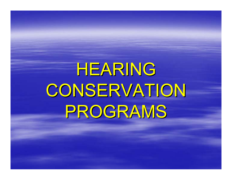# HEARING HEARING CONSERVATION PROGRAMS PROGRAMS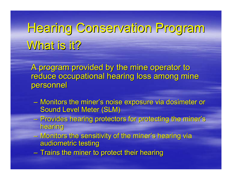# Hearing Conservation Program Hearing Conservation Program What is it?

A program provided by the mine operator to reduce occupational hearing loss among mine personnel

- Monitors the miner's noise exposure via dosimeter or **Sound Level Meter (SLM)**
- Provides hearing protectors for protecting the miner's hearing
- Monitors the sensitivity of the miner's hearing via audiometric testing
- $-$  Trains the miner to protect their hearing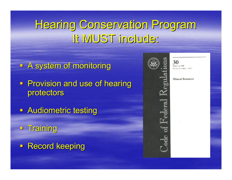### Hearing Conservation Program Hearing Conservation Program It MUST include:

- **A system of monitoring**
- **Provision and use of hearing** protectors
- **Audiometric testing**
- $-$  Training
- **Record keeping**



Parts 1 to 199 Revised as of July 1, 2005

**Mineral Resources**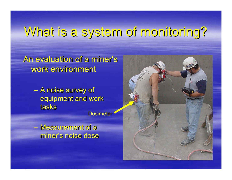# What is a system of monitoring? What is a system of monitoring?

An evaluation of a miner's work environment

> – A noise survey of equipment and work tasks

**Dosimeter** 

– Measurement of a Measurement of a miner's noise dose

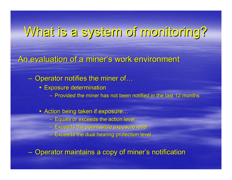### What is a system of monitoring? What is a system of monitoring?

An evaluation of a miner's work environment

 $-$  Operator notifies the miner of…

- **Exposure determination** 
	- Provided the miner has not been notified in the last 12 months
- Action being taken if exposure…
	- $-$  Equals or exceeds the action level
	- Exceeds the permissible exposure level Exceeds the permissible exposure level
	- $-$  Exceeds the dual hearing protection level

 $-$  Operator maintains a copy of miner's notification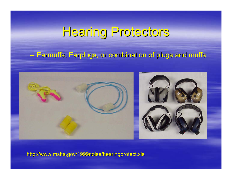### Hearing Protectors Hearing Protectors

#### –– Earmuffs, Earplugs, or combination of plugs and muffs



http://www.msha.gov/1999noise/hearingprotect.xls http://www.msha.gov/1999noise/hearingprotect.xls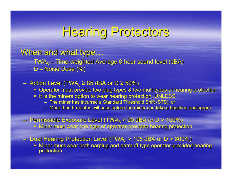### Hearing Protectors Hearing Protectors

### When and what type...

TWA<sub>s</sub> – Time-weighted Average 8-hour sound level (dBA)  $\mathsf{D}-$ – Noise Dose (%)

### $-$  Action Level (TWA $_{8}$  ≥ 85 dBA or D ≥ 50%)

- **Operator must provide two plug types & two muff types of hearing protection**
- It is the miners option to wear hearing protection, UNLESS
	- The miner has incurred a Standard Threshold Shift (STS); or
	- More than 6 months will pass before the miner can take a baseline audiogram

### $-$  Permissible Exposure Level (TWA $_{8}$  > 90 dBA or D > 100%)

**EXT Miner must wear one type of operator-provided hearing protection** 

– Dual Hearing Protection Level (TWA<sub>8</sub> > 105 dBA or D > 800%)

Miner must wear both earplug and earmuff type operator-provided hearing protection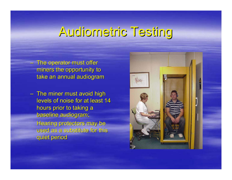### Audiometric Testing Audiometric Testing

 $-$  The operator must offer  $\overline{\phantom{a}}$ miners the opportunity to take an annual audiogram

 $-$  The miner must avoid high  $\,$ levels of noise for at least 14 hours prior to taking a baseline audiogram; Hearing protectors may be used as a substitute for this quiet period

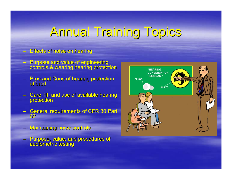### Annual Training Topics Annual Training Topics

### Effects of noise on hearing Effects of noise on hearing

- Purpose and value of engineering Purpose and value of engineering controls & wearing hearing protection controls & wearing hearing protection
- Pros and Cons of hearing protection<br>Profered offered
- Care, fit, and use of available hearing<br>protection
- General requirements of CFR 30 Part<br>— 62
- Maintaining noise controls Maintaining noise controls
- Purpose, value, and procedures of audiometric testing

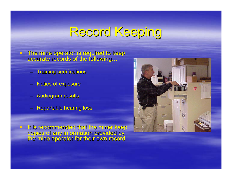# Record Keeping

 $\blacksquare$  $\blacksquare$  The mine operator is required to keep accurate records of the following…

- $-$  Training certifications
- Notice of exposure
- Audiogram results
- **Reportable hearing loss**

 $\Box$ It is recommended that the miner keep<br>copies of any information provided by<br>the mine operator for their own record